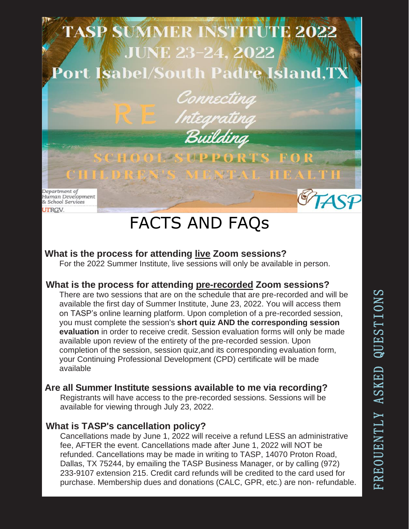

# FACTS AND FAQs

## **What is the process for attending live Zoom sessions?**

For the 2022 Summer Institute, live sessions will only be available in person.

#### **What is the process for attending pre-recorded Zoom sessions?**

There are two sessions that are on the schedule that are pre-recorded and will be available the first day of Summer Institute, June 23, 2022. You will access them on TASP's online learning platform. Upon completion of a pre-recorded session, you must complete the session's **short quiz AND the corresponding session evaluation** in order to receive credit. Session evaluation forms will only be made available upon review of the entirety of the pre-recorded session. Upon completion of the session, session quiz,and its corresponding evaluation form, your Continuing Professional Development (CPD) certificate will be made available

#### **Are all Summer Institute sessions available to me via recording?**

Registrants will have access to the pre-recorded sessions. Sessions will be available for viewing through July 23, 2022.

#### **What is TASP's cancellation policy?**

Cancellations made by June 1, 2022 will receive a refund LESS an administrative fee, AFTER the event. Cancellations made after June 1, 2022 will NOT be refunded. Cancellations may be made in writing to TASP, 14070 Proton Road, Dallas, TX 75244, by emailing the TASP Business Manager, or by calling (972) 233-9107 extension 215. Credit card refunds will be credited to the card used for purchase. Membership dues and donations (CALC, GPR, etc.) are non- refundable.